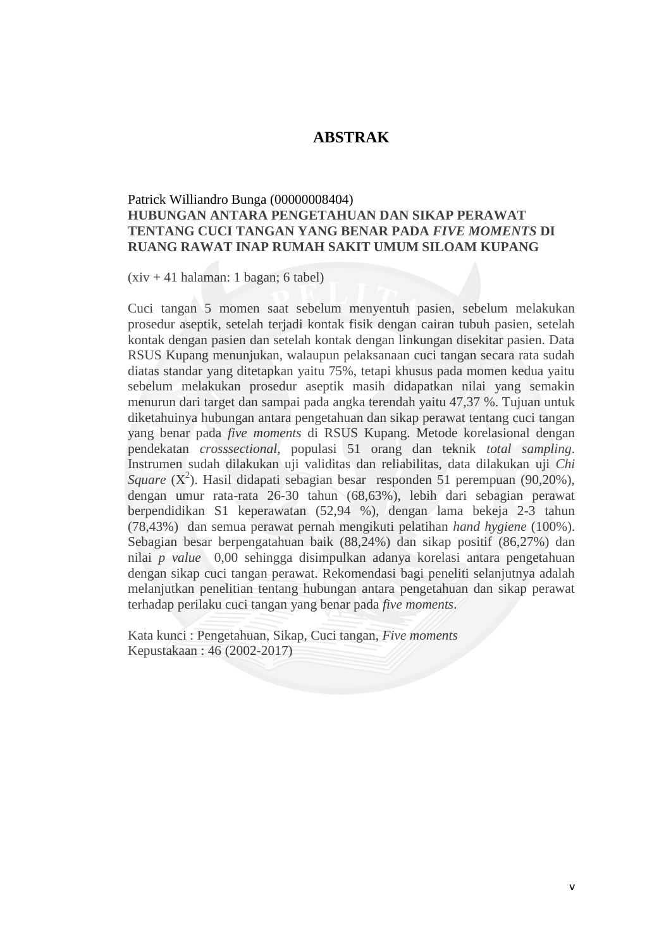## **ABSTRAK**

## Patrick Williandro Bunga (00000008404) **HUBUNGAN ANTARA PENGETAHUAN DAN SIKAP PERAWAT TENTANG CUCI TANGAN YANG BENAR PADA** *FIVE MOMENTS* **DI RUANG RAWAT INAP RUMAH SAKIT UMUM SILOAM KUPANG**

 $(xiv + 41)$  halaman: 1 bagan; 6 tabel)

Cuci tangan 5 momen saat sebelum menyentuh pasien, sebelum melakukan prosedur aseptik, setelah terjadi kontak fisik dengan cairan tubuh pasien, setelah kontak dengan pasien dan setelah kontak dengan linkungan disekitar pasien. Data RSUS Kupang menunjukan, walaupun pelaksanaan cuci tangan secara rata sudah diatas standar yang ditetapkan yaitu 75%, tetapi khusus pada momen kedua yaitu sebelum melakukan prosedur aseptik masih didapatkan nilai yang semakin menurun dari target dan sampai pada angka terendah yaitu 47,37 %. Tujuan untuk diketahuinya hubungan antara pengetahuan dan sikap perawat tentang cuci tangan yang benar pada *five moments* di RSUS Kupang. Metode korelasional dengan pendekatan *crosssectional,* populasi 51 orang dan teknik *total sampling*. Instrumen sudah dilakukan uji validitas dan reliabilitas, data dilakukan uji *Chi Square*  $(X^2)$ . Hasil didapati sebagian besar responden 51 perempuan (90,20%), dengan umur rata-rata 26-30 tahun (68,63%), lebih dari sebagian perawat berpendidikan S1 keperawatan (52,94 %), dengan lama bekeja 2-3 tahun (78,43%) dan semua perawat pernah mengikuti pelatihan *hand hygiene* (100%). Sebagian besar berpengatahuan baik (88,24%) dan sikap positif (86,27%) dan nilai *p value* 0,00 sehingga disimpulkan adanya korelasi antara pengetahuan dengan sikap cuci tangan perawat. Rekomendasi bagi peneliti selanjutnya adalah melanjutkan penelitian tentang hubungan antara pengetahuan dan sikap perawat terhadap perilaku cuci tangan yang benar pada *five moments*.

Kata kunci : Pengetahuan, Sikap, Cuci tangan, *Five moments* Kepustakaan : 46 (2002-2017)